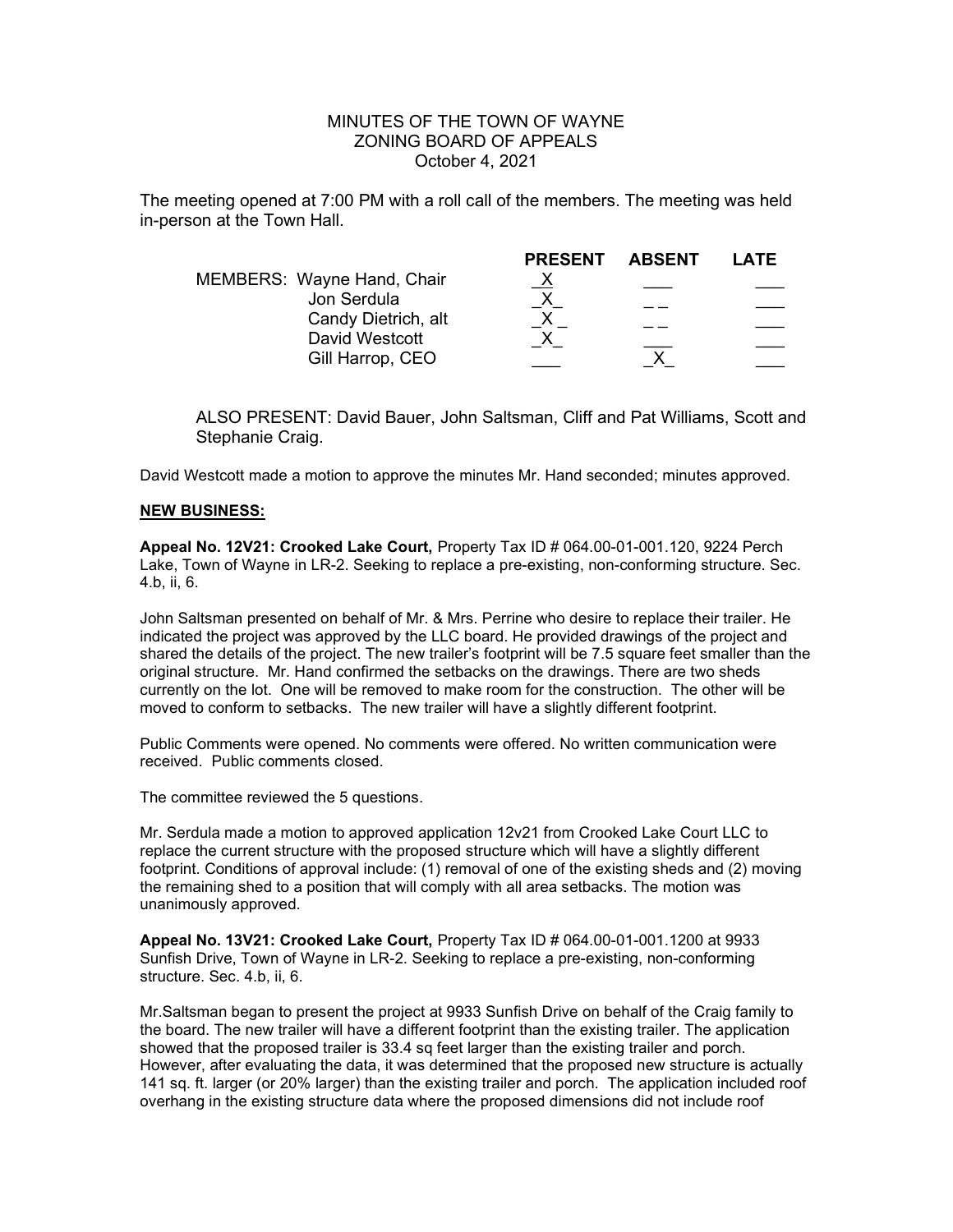## MINUTES OF THE TOWN OF WAYNE ZONING BOARD OF APPEALS October 4, 2021

The meeting opened at 7:00 PM with a roll call of the members. The meeting was held in-person at the Town Hall.

|                                       | <b>PRESENT</b> | <b>ABSENT</b> | LATE |
|---------------------------------------|----------------|---------------|------|
| MEMBERS: Wayne Hand, Chair            |                |               |      |
| Jon Serdula                           |                |               |      |
| Candy Dietrich, alt<br>David Westcott |                |               |      |
| Gill Harrop, CEO                      |                |               |      |
|                                       |                |               |      |

ALSO PRESENT: David Bauer, John Saltsman, Cliff and Pat Williams, Scott and Stephanie Craig.

David Westcott made a motion to approve the minutes Mr. Hand seconded; minutes approved.

## NEW BUSINESS:

Appeal No. 12V21: Crooked Lake Court, Property Tax ID # 064.00-01-001.120, 9224 Perch Lake, Town of Wayne in LR-2. Seeking to replace a pre-existing, non-conforming structure. Sec. 4.b, ii, 6.

John Saltsman presented on behalf of Mr. & Mrs. Perrine who desire to replace their trailer. He indicated the project was approved by the LLC board. He provided drawings of the project and shared the details of the project. The new trailer's footprint will be 7.5 square feet smaller than the original structure. Mr. Hand confirmed the setbacks on the drawings. There are two sheds currently on the lot. One will be removed to make room for the construction. The other will be moved to conform to setbacks. The new trailer will have a slightly different footprint.

Public Comments were opened. No comments were offered. No written communication were received. Public comments closed.

The committee reviewed the 5 questions.

Mr. Serdula made a motion to approved application 12v21 from Crooked Lake Court LLC to replace the current structure with the proposed structure which will have a slightly different footprint. Conditions of approval include: (1) removal of one of the existing sheds and (2) moving the remaining shed to a position that will comply with all area setbacks. The motion was unanimously approved.

Appeal No. 13V21: Crooked Lake Court, Property Tax ID # 064.00-01-001.1200 at 9933 Sunfish Drive, Town of Wayne in LR-2. Seeking to replace a pre-existing, non-conforming structure. Sec. 4.b, ii, 6.

Mr.Saltsman began to present the project at 9933 Sunfish Drive on behalf of the Craig family to the board. The new trailer will have a different footprint than the existing trailer. The application showed that the proposed trailer is 33.4 sq feet larger than the existing trailer and porch. However, after evaluating the data, it was determined that the proposed new structure is actually 141 sq. ft. larger (or 20% larger) than the existing trailer and porch. The application included roof overhang in the existing structure data where the proposed dimensions did not include roof